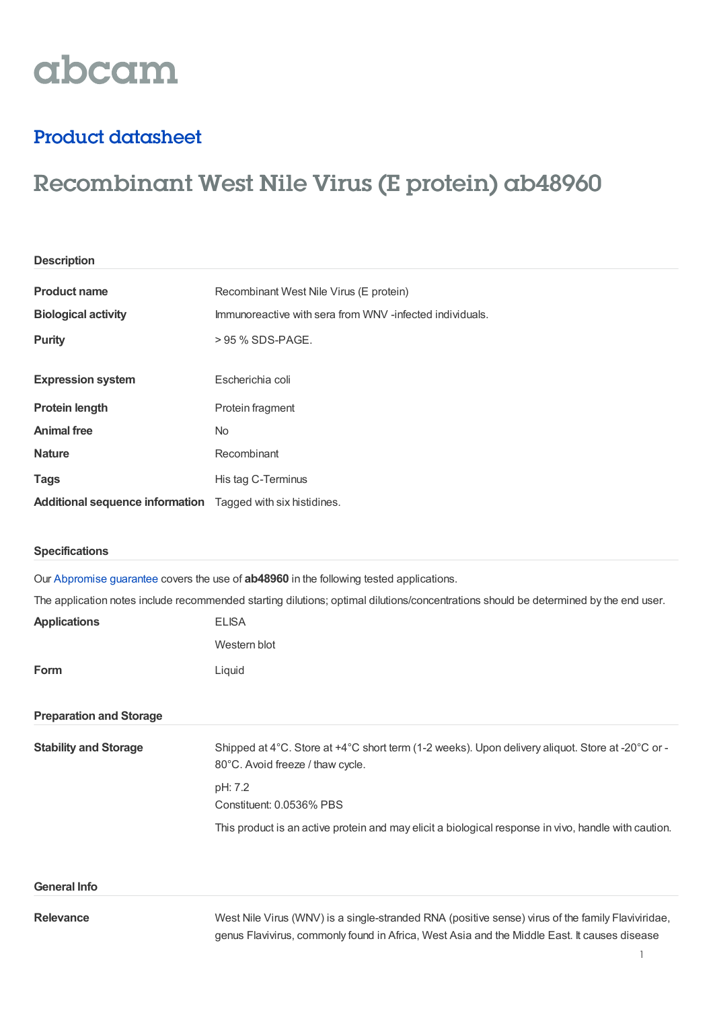# abcam

## Product datasheet

## Recombinant West Nile Virus (E protein) ab48960

| <b>Description</b>                                                 |                                                         |
|--------------------------------------------------------------------|---------------------------------------------------------|
|                                                                    |                                                         |
| <b>Product name</b>                                                | Recombinant West Nile Virus (E protein)                 |
| <b>Biological activity</b>                                         | Immunoreactive with sera from WNV-infected individuals. |
| <b>Purity</b>                                                      | > 95 % SDS-PAGE.                                        |
|                                                                    |                                                         |
| <b>Expression system</b>                                           | Escherichia coli                                        |
| <b>Protein length</b>                                              | Protein fragment                                        |
| <b>Animal free</b>                                                 | No.                                                     |
| <b>Nature</b>                                                      | Recombinant                                             |
| <b>Tags</b>                                                        | His tag C-Terminus                                      |
| <b>Additional sequence information</b> Tagged with six histidines. |                                                         |

### **Specifications**

Our [Abpromise](https://www.abcam.com/abpromise) guarantee covers the use of **ab48960** in the following tested applications.

The application notes include recommended starting dilutions; optimal dilutions/concentrations should be determined by the end user.

| <b>Applications</b>            | <b>ELISA</b>                                                                                                                         |
|--------------------------------|--------------------------------------------------------------------------------------------------------------------------------------|
|                                | Western blot                                                                                                                         |
| Form                           | Liquid                                                                                                                               |
| <b>Preparation and Storage</b> |                                                                                                                                      |
| <b>Stability and Storage</b>   | Shipped at 4°C. Store at +4°C short term (1-2 weeks). Upon delivery aliquot. Store at -20°C or -<br>80°C. Avoid freeze / thaw cycle. |
|                                | pH: 7.2<br>Constituent: 0.0536% PBS                                                                                                  |
|                                | This product is an active protein and may elicit a biological response in vivo, handle with caution.                                 |
| <b>General Info</b>            |                                                                                                                                      |
| - -                            |                                                                                                                                      |

**Relevance** West Nile Virus (WNV) is a single-stranded RNA (positive sense) virus of the family Flaviviridae, genus Flavivirus, commonly found in Africa, West Asia and the Middle East. It causes disease